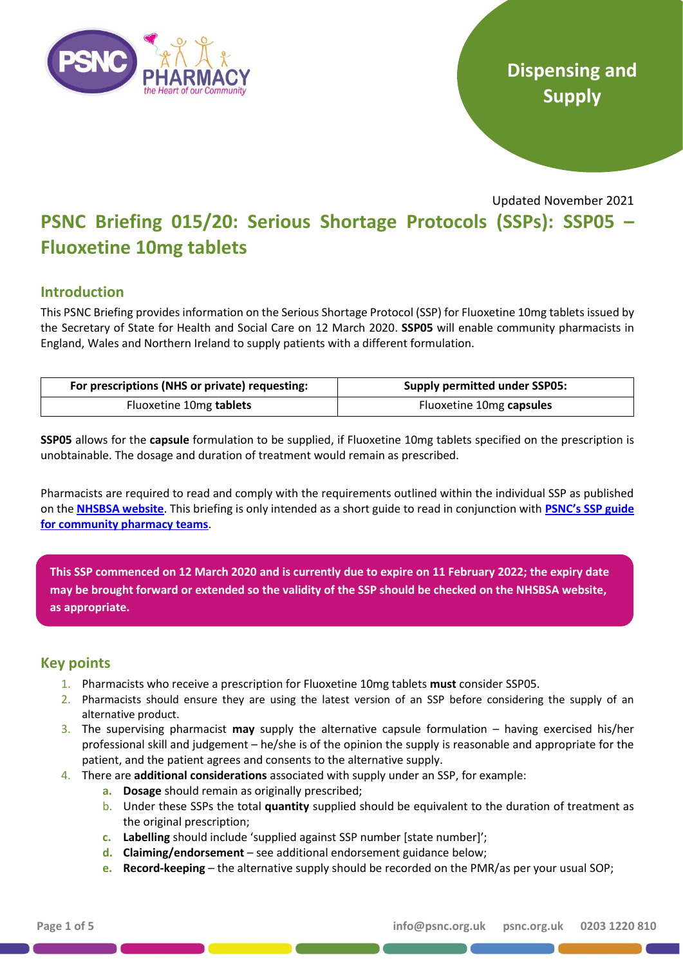

# **Dispensing and Supply**

Updated November 2021

# **PSNC Briefing 015/20: Serious Shortage Protocols (SSPs): SSP05 – Fluoxetine 10mg tablets**

# **Introduction**

This PSNC Briefing provides information on the Serious Shortage Protocol (SSP) for Fluoxetine 10mg tablets issued by the Secretary of State for Health and Social Care on 12 March 2020. **SSP05** will enable community pharmacists in England, Wales and Northern Ireland to supply patients with a different formulation.

| For prescriptions (NHS or private) requesting: | <b>Supply permitted under SSP05:</b> |
|------------------------------------------------|--------------------------------------|
| Fluoxetine 10mg tablets                        | Fluoxetine 10mg capsules             |

**SSP05** allows for the **capsule** formulation to be supplied, if Fluoxetine 10mg tablets specified on the prescription is unobtainable. The dosage and duration of treatment would remain as prescribed.

Pharmacists are required to read and comply with the requirements outlined within the individual SSP as published on the **[NHSBSA website](https://www.nhsbsa.nhs.uk/pharmacies-gp-practices-and-appliance-contractors/serious-shortage-protocols-ssps)**. This briefing is only intended as a short guide to read in conjunction with **[PSNC's SSP guide](https://psnc.org.uk/wp-content/uploads/2019/08/PSNC-Briefing-023.19-Serious-Shortage-Protocols-FINAL-PUBLISHED-v2.0.pdf)  [for community pharmacy teams](https://psnc.org.uk/wp-content/uploads/2019/08/PSNC-Briefing-023.19-Serious-Shortage-Protocols-FINAL-PUBLISHED-v2.0.pdf)**.

**This SSP commenced on 12 March 2020 and is currently due to expire on 11 February 2022; the expiry date may be brought forward or extended so the validity of the SSP should be checked on the NHSBSA website, as appropriate.**

# **Key points**

- 1. Pharmacists who receive a prescription for Fluoxetine 10mg tablets **must** consider SSP05.
- 2. Pharmacists should ensure they are using the latest version of an SSP before considering the supply of an alternative product.
- 3. The supervising pharmacist **may** supply the alternative capsule formulation having exercised his/her professional skill and judgement – he/she is of the opinion the supply is reasonable and appropriate for the patient, and the patient agrees and consents to the alternative supply.
- 4. There are **additional considerations** associated with supply under an SSP, for example:
	- **a. Dosage** should remain as originally prescribed;
	- b. Under these SSPs the total **quantity** supplied should be equivalent to the duration of treatment as the original prescription;
	- **c. Labelling** should include 'supplied against SSP number [state number]';
	- **d. Claiming/endorsement** see additional endorsement guidance below;
	- **e. Record-keeping** the alternative supply should be recorded on the PMR/as per your usual SOP;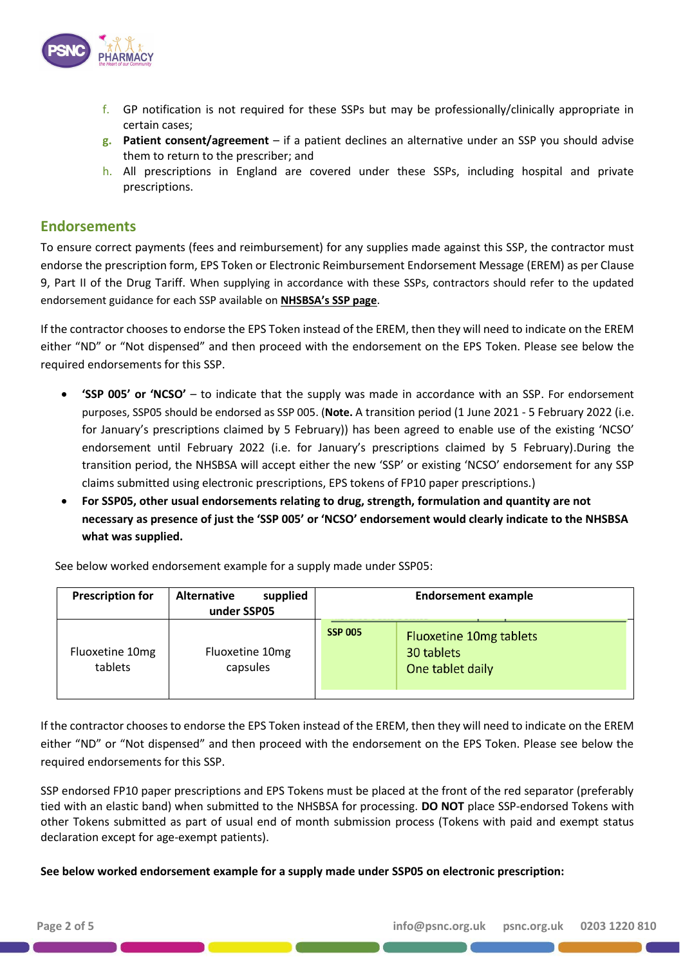

- f. GP notification is not required for these SSPs but may be professionally/clinically appropriate in certain cases;
- **g. Patient consent/agreement** if a patient declines an alternative under an SSP you should advise them to return to the prescriber; and
- h. All prescriptions in England are covered under these SSPs, including hospital and private prescriptions.

## **Endorsements**

To ensure correct payments (fees and reimbursement) for any supplies made against this SSP, the contractor must endorse the prescription form, EPS Token or Electronic Reimbursement Endorsement Message (EREM) as per Clause 9, Part II of the Drug Tariff. When supplying in accordance with these SSPs, contractors should refer to the updated endorsement guidance for each SSP available on **NHSBSA's SSP page**.

If the contractor chooses to endorse the EPS Token instead of the EREM, then they will need to indicate on the EREM either "ND" or "Not dispensed" and then proceed with the endorsement on the EPS Token. Please see below the required endorsements for this SSP.

- **'SSP 005' or 'NCSO'** to indicate that the supply was made in accordance with an SSP. For endorsement purposes, SSP05 should be endorsed as SSP 005. (**Note.** A transition period (1 June 2021 - 5 February 2022 (i.e. for January's prescriptions claimed by 5 February)) has been agreed to enable use of the existing 'NCSO' endorsement until February 2022 (i.e. for January's prescriptions claimed by 5 February).During the transition period, the NHSBSA will accept either the new 'SSP' or existing 'NCSO' endorsement for any SSP claims submitted using electronic prescriptions, EPS tokens of FP10 paper prescriptions.)
- **For SSP05, other usual endorsements relating to drug, strength, formulation and quantity are not necessary as presence of just the 'SSP 005' or 'NCSO' endorsement would clearly indicate to the NHSBSA what was supplied.**

See below worked endorsement example for a supply made under SSP05:

| <b>Prescription for</b>    | <b>Alternative</b><br>supplied<br>under SSP05 |                | <b>Endorsement example</b>                                       |
|----------------------------|-----------------------------------------------|----------------|------------------------------------------------------------------|
| Fluoxetine 10mg<br>tablets | Fluoxetine 10mg<br>capsules                   | <b>SSP 005</b> | <b>Fluoxetine 10mg tablets</b><br>30 tablets<br>One tablet daily |
|                            |                                               |                |                                                                  |

If the contractor chooses to endorse the EPS Token instead of the EREM, then they will need to indicate on the EREM either "ND" or "Not dispensed" and then proceed with the endorsement on the EPS Token. Please see below the required endorsements for this SSP.

SSP endorsed FP10 paper prescriptions and EPS Tokens must be placed at the front of the red separator (preferably tied with an elastic band) when submitted to the NHSBSA for processing. **DO NOT** place SSP-endorsed Tokens with other Tokens submitted as part of usual end of month submission process (Tokens with paid and exempt status declaration except for age-exempt patients).

**See below worked endorsement example for a supply made under SSP05 on electronic prescription:**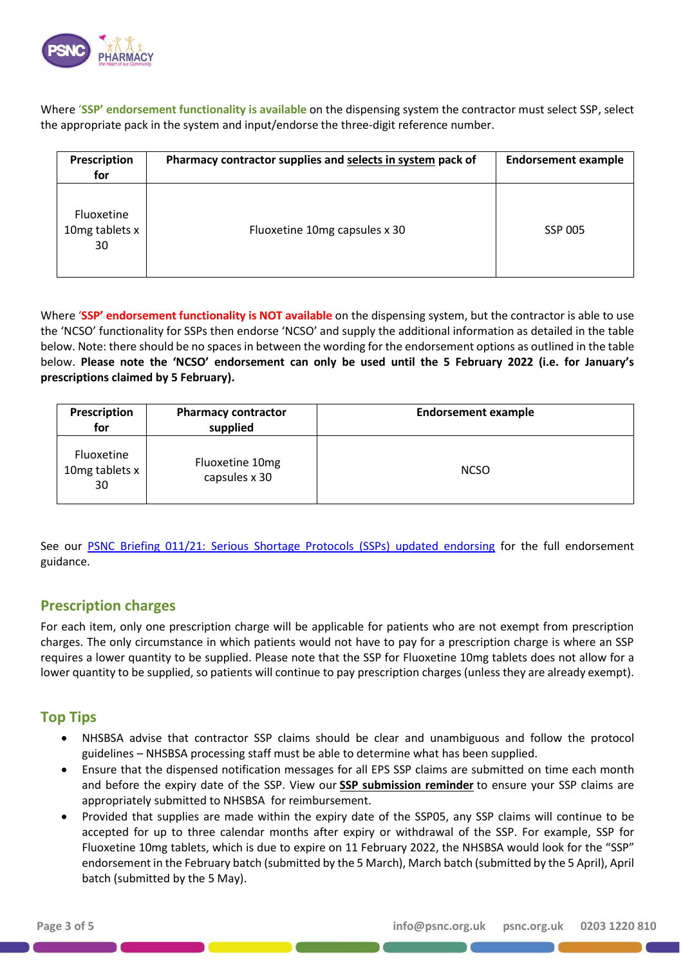

Where '**SSP' endorsement functionality is available** on the dispensing system the contractor must select SSP, select the appropriate pack in the system and input/endorse the three-digit reference number.

| Prescription<br>for                | Pharmacy contractor supplies and selects in system pack of | <b>Endorsement example</b> |
|------------------------------------|------------------------------------------------------------|----------------------------|
| Fluoxetine<br>10mg tablets x<br>30 | Fluoxetine 10mg capsules x 30                              | <b>SSP 005</b>             |

Where '**SSP' endorsement functionality is NOT available** on the dispensing system, but the contractor is able to use the 'NCSO' functionality for SSPs then endorse 'NCSO' and supply the additional information as detailed in the table below. Note: there should be no spaces in between the wording for the endorsement options as outlined in the table below. **Please note the 'NCSO' endorsement can only be used until the 5 February 2022 (i.e. for January's prescriptions claimed by 5 February).**

| Prescription<br>for                       | <b>Pharmacy contractor</b><br>supplied | <b>Endorsement example</b> |
|-------------------------------------------|----------------------------------------|----------------------------|
| <b>Fluoxetine</b><br>10mg tablets x<br>30 | Fluoxetine 10mg<br>capsules x 30       | <b>NCSO</b>                |

See our [PSNC Briefing 011/21: Serious Shortage Protocols \(SSPs\) updated endorsing](https://psnc.org.uk/wp-content/uploads/2021/05/PSNC-Briefing-011.21-Serious-Shortage-Protocols-SSPs-updated-endorsing-guidance.pdf) for the full endorsement guidance.

## **Prescription charges**

For each item, only one prescription charge will be applicable for patients who are not exempt from prescription charges. The only circumstance in which patients would not have to pay for a prescription charge is where an SSP requires a lower quantity to be supplied. Please note that the SSP for Fluoxetine 10mg tablets does not allow for a lower quantity to be supplied, so patients will continue to pay prescription charges (unless they are already exempt).

# **Top Tips**

- NHSBSA advise that contractor SSP claims should be clear and unambiguous and follow the protocol guidelines – NHSBSA processing staff must be able to determine what has been supplied.
- Ensure that the dispensed notification messages for all EPS SSP claims are submitted on time each month and before the expiry date of the SSP. View our **[SSP submission reminder](https://psnc.org.uk/our-news/contractor-notice-ssp-submission-reminder/)** to ensure your SSP claims are appropriately submitted to NHSBSA for reimbursement.
- Provided that supplies are made within the expiry date of the SSP05, any SSP claims will continue to be accepted for up to three calendar months after expiry or withdrawal of the SSP. For example, SSP for Fluoxetine 10mg tablets, which is due to expire on 11 February 2022, the NHSBSA would look for the "SSP" endorsement in the February batch (submitted by the 5 March), March batch (submitted by the 5 April), April batch (submitted by the 5 May).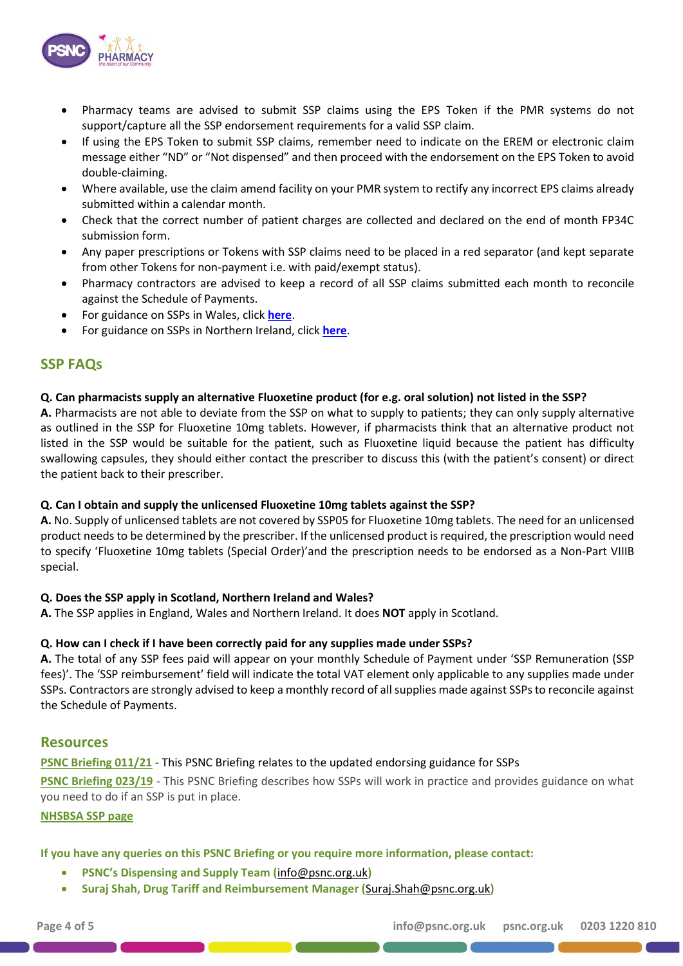

- Pharmacy teams are advised to submit SSP claims using the EPS Token if the PMR systems do not support/capture all the SSP endorsement requirements for a valid SSP claim.
- If using the EPS Token to submit SSP claims, remember need to indicate on the EREM or electronic claim message either "ND" or "Not dispensed" and then proceed with the endorsement on the EPS Token to avoid double-claiming.
- Where available, use the claim amend facility on your PMR system to rectify any incorrect EPS claims already submitted within a calendar month.
- Check that the correct number of patient charges are collected and declared on the end of month FP34C submission form.
- Any paper prescriptions or Tokens with SSP claims need to be placed in a red separator (and kept separate from other Tokens for non-payment i.e. with paid/exempt status).
- Pharmacy contractors are advised to keep a record of all SSP claims submitted each month to reconcile against the Schedule of Payments.
- For guidance on SSPs in Wales, click **[here](http://www.cpwales.org.uk/getattachment/Dispensing-and-supply/Medicines-Shortages/SSP-NHS-Wales-Operational-Guidance-2019.pdf.aspx?lang=en-GB)**.
- For guidance on SSPs in Northern Ireland, click **[here](https://www.communitypharmacyni.co.uk/serious-shortage-protocols-ssps-2/)**.

## **SSP FAQs**

#### **Q. Can pharmacists supply an alternative Fluoxetine product (for e.g. oral solution) not listed in the SSP?**

**A.** Pharmacists are not able to deviate from the SSP on what to supply to patients; they can only supply alternative as outlined in the SSP for Fluoxetine 10mg tablets. However, if pharmacists think that an alternative product not listed in the SSP would be suitable for the patient, such as Fluoxetine liquid because the patient has difficulty swallowing capsules, they should either contact the prescriber to discuss this (with the patient's consent) or direct the patient back to their prescriber.

#### **Q. Can I obtain and supply the unlicensed Fluoxetine 10mg tablets against the SSP?**

**A.** No. Supply of unlicensed tablets are not covered by SSP05 for Fluoxetine 10mg tablets. The need for an unlicensed product needs to be determined by the prescriber. If the unlicensed product is required, the prescription would need to specify 'Fluoxetine 10mg tablets (Special Order)'and the prescription needs to be endorsed as a Non-Part VIIIB special.

#### **Q. Does the SSP apply in Scotland, Northern Ireland and Wales?**

**A.** The SSP applies in England, Wales and Northern Ireland. It does **NOT** apply in Scotland.

### **Q. How can I check if I have been correctly paid for any supplies made under SSPs?**

**A.** The total of any SSP fees paid will appear on your monthly Schedule of Payment under 'SSP Remuneration (SSP fees)'. The 'SSP reimbursement' field will indicate the total VAT element only applicable to any supplies made under SSPs. Contractors are strongly advised to keep a monthly record of all supplies made against SSPs to reconcile against the Schedule of Payments.

### **Resources**

#### **[PSNC Briefing 011/21](https://psnc.org.uk/wp-content/uploads/2021/05/PSNC-Briefing-011.21-Serious-Shortage-Protocols-SSPs-updated-endorsing-guidance.pdf) -** This PSNC Briefing relates to the updated endorsing guidance for SSPs

**[PSNC Briefing 023/19](https://psnc.org.uk/wp-content/uploads/2019/08/PSNC-Briefing-023.19-Serious-Shortage-Protocols-FINAL-PUBLISHED-v2.0.pdf)** - This PSNC Briefing describes how SSPs will work in practice and provides guidance on what you need to do if an SSP is put in place.

#### **[NHSBSA SSP page](https://www.nhsbsa.nhs.uk/pharmacies-gp-practices-and-appliance-contractors/serious-shortage-protocols-ssps)**

**If you have any queries on this PSNC Briefing or you require more information, please contact:**

- **PSNC's Dispensing and Supply Team (**[info@psnc.org.uk](mailto:info@psnc.org.uk)**)**
- **Suraj Shah, Drug Tariff and Reimbursement Manager (**[Suraj.Shah@psnc.org.uk](mailto:Suraj.Shah@psnc.org.uk)**)**